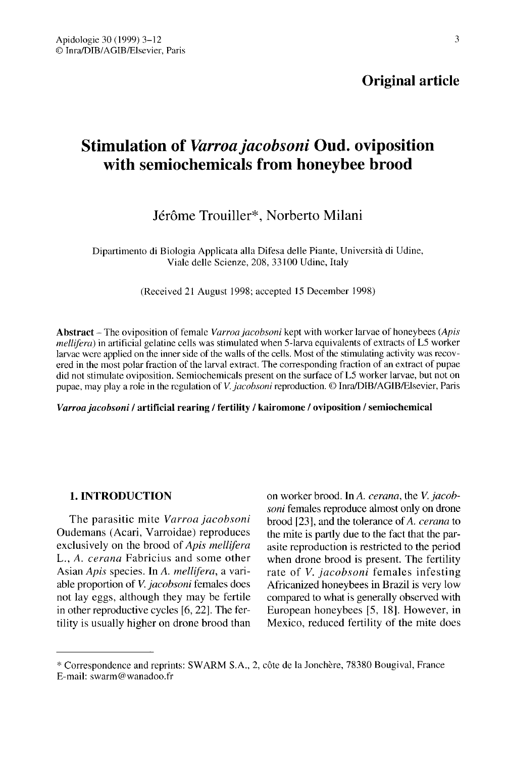# Original article

# Stimulation of Varroa jacobsoni Oud. oviposition with semiochemicals from honeybee brood

# Jérôme Trouiller\*, Norberto Milani

Dipartimento di Biologia Applicata alla Difesa delle Piante, Università di Udine, Viale delle Scienze, 208, 33100 Udine, Italy

(Received 21 August 1998; accepted 15 December 1998)

Abstract - The oviposition of female Varroa jacobsoni kept with worker larvae of honeybees (Apis mellifera) in artificial gelatine cells was stimulated when 5-larva equivalents of extracts of L5 worker larvae were applied on the inner side of the walls of the cells. Most of the stimulating activity was recovered in the most polar fraction of the larval extract. The corresponding fraction of an extract of pupae did not stimulate oviposition. Semiochemicals present on the surface of L5 worker larvae, but not on pupae, may play a role in the regulation of V. jacobsoni reproduction. © Inra/DIB/AGIB/Elsevier, Paris

#### Varroa jacobsoni / artificial rearing / fertility / kairomone / oviposition / semiochemical

# 1. INTRODUCTION

The parasitic mite Varroa jacobsoni Oudemans (Acari, Varroidae) reproduces exclusively on the brood of Apis mellifera L., A. cerana Fabricius and some other Asian Apis species. In A. mellifera, a variable proportion of V. jacobsoni females does not lay eggs, although they may be fertile in other reproductive cycles [6, 22]. The fertility is usually higher on drone brood than

on worker brood. In A. cerana, the V. jacobsoni females reproduce almost only on drone brood [23], and the tolerance of A. cerana to the mite is partly due to the fact that the parasite reproduction is restricted to the period when drone brood is present. The fertility rate of *V. jacobsoni* females infesting Africanized honeybees in Brazil is very low compared to what is generally observed with European honeybees [5, 18]. However, in Mexico, reduced fertility of the mite does

<sup>\*</sup> Correspondence and reprints: SWARM S.A., 2, côte de la Jonchère, 78380 Bougival, France E-mail: swarm@wanadoo.fr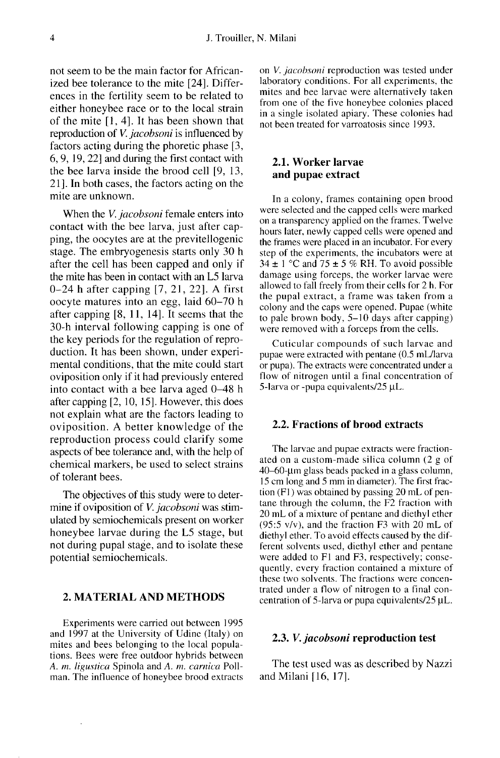not seem to be the main factor for Africanized bee tolerance to the mite [24]. Differences in the fertility seem to be related to either honeybee race or to the local strain of the mite [1, 4]. It has been shown that reproduction of V. jacobsoni is influenced by factors acting during the phoretic phase [3, 6, 9, 19, 22] and during the first contact with the bee larva inside the brood cell [9, 13, 21]. In both cases, the factors acting on the mite are unknown.

When the *V. jacobsoni* female enters into contact with the bee larva, just after capping, the oocytes are at the previtellogenic stage. The embryogenesis starts only 30 h after the cell has been capped and only if the mite has been in contact with an L5 larva 0-24 h after capping [7, 21, 22]. A first oocyte matures into an egg, laid 60-70 h after capping [8, 11, 14]. It seems that the 30-h interval following capping is one of the key periods for the regulation of reproduction. It has been shown, under experimental conditions, that the mite could start oviposition only if it had previously entered into contact with a bee larva aged 0-48 h after capping [2, 10, 15]. However, this does not explain what are the factors leading to oviposition. A better knowledge of the reproduction process could clarify some aspects of bee tolerance and, with the help of chemical markers, be used to select strains of tolerant bees.

The objectives of this study were to determine if oviposition of *V. jacobsoni* was stimulated by semiochemicals present on worker honeybee larvae during the L5 stage, but not during pupal stage, and to isolate these potential semiochemicals.

# 2. MATERIAL AND METHODS

Experiments were carried out between 1995 and 1997 at the University of Udine (Italy) on mites and bees belonging to the local populations. Bees were free outdoor hybrids between A. m. ligustica Spinola and A. m. carnica Pollman. The influence of honeybee brood extracts on V. jacobsoni reproduction was tested under laboratory conditions. For all experiments, the mites and bee larvae were alternatively taken from one of the five honeybee colonies placed in a single isolated apiary. These colonies had not been treated for varroatosis since 1993.

## 2.1. Worker larvae and pupae extract

In a colony, frames containing open brood were selected and the capped cells were marked on a transparency applied on the frames. Twelve hours later, newly capped cells were opened and the frames were placed in an incubator. For every step of the experiments, the incubators were at  $34 \pm 1$  °C and  $75 \pm 5$  % RH. To avoid possible damage using forceps, the worker larvae were allowed to fall freely from their cells for 2 h. For the pupal extract, a frame was taken from a colony and the caps were opened. Pupae (white to pale brown body, 5-10 days after capping) were removed with a forceps from the cells.

Cuticular compounds of such larvae and pupae were extracted with pentane (0.5 mL/larva or pupa). The extracts were concentrated under a flow of nitrogen until a final concentration of 5-larva or -pupa equivalents/25 μL.

# 2.2. Fractions of brood extracts

The larvae and pupae extracts were fractionated on a custom-made silica column (2 g of 40-60-μm glass beads packed in a glass column, 15 cm long and 5 mm in diameter). The first fraction (F1) was obtained by passing 20 mL of pen tane through the column, the F2 fraction with 20 mL of a mixture of pentane and diethyl ether (95:5 v/v), and the fraction F3 with 20 mL of diethyl ether. To avoid effects caused by the different solvents used, diethyl ether and pentane were added to F1 and F3, respectively; consequently, every fraction contained a mixture of these two solvents. The fractions were concentrated under a flow of nitrogen to a final concentration of 5-larva or pupa equivalents/25 μL.

# 2.3. V. jacobsoni reproduction test

The test used was as described by Nazzi and Milani [16, 17].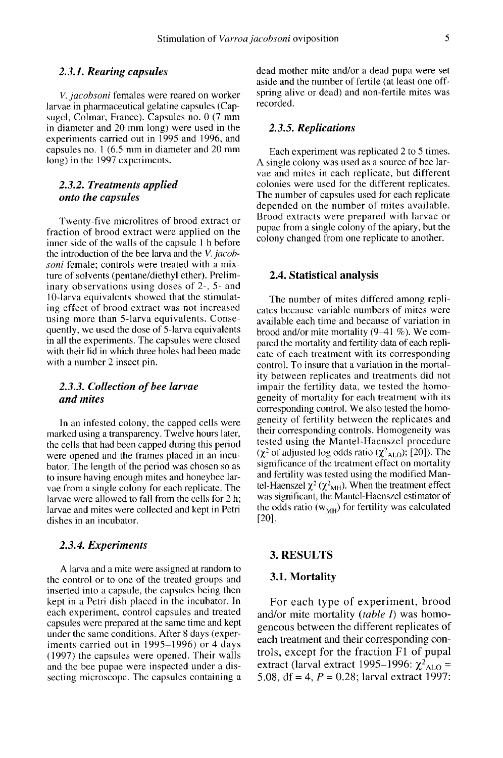#### 2.3.1. Rearing capsules

V. jacobsoni females were reared on worker larvae in pharmaceutical gelatine capsules (Capsugel, Colmar, France). Capsules no. 0 (7 mm in diameter and 20 mm long) were used in the experiments carried out in 1995 and 1996, and capsules no. 1 (6.5 mm in diameter and 20 mm long) in the 1997 experiments.

# 2.3.2. Treatments applied onto the capsules

Twenty-five microlitres of brood extract or fraction of brood extract were applied on the inner side of the walls of the capsule 1 h before the introduction of the bee larva and the V. jacobsoni female; controls were treated with a mixture of solvents (pentane/diethyl ether). Preliminary observations using doses of 2-, 5- and 10-larva equivalents showed that the stimulating effect of brood extract was not increased using more than 5-larva equivalents. Consequently, we used the dose of 5-larva equivalents in all the experiments. The capsules were closed with their lid in which three holes had been made with a number 2 insect pin.

# 2.3.3. Collection of bee larvae and mites

In an infested colony, the capped cells were marked using a transparency. Twelve hours later, the cells that had been capped during this period were opened and the frames placed in an incubator. The length of the period was chosen so as to insure having enough mites and honeybee larvae from a single colony for each replicate. The larvae were allowed to fall from the cells for 2 h; larvae and mites were collected and kept in Petri dishes in an incubator.

#### 2.3.4. Experiments

A larva and a mite were assigned at random to the control or to one of the treated groups and inserted into a capsule, the capsules being then kept in a Petri dish placed in the incubator. In each experiment, control capsules and treated capsules were prepared at the same time and kept under the same conditions. After 8 days (experiments carried out in 1995-1996) or 4 days (1997) the capsules were opened. Their walls and the bee pupae were inspected under a dissecting microscope. The capsules containing a dead mother mite and/or a dead pupa were set aside and the number of fertile (at least one offspring alive or dead) and non-fertile mites was recorded.

# 2.3.5. Replications

Each experiment was replicated 2 to 5 times. A single colony was used as a source of bee larvae and mites in each replicate, but different colonies were used for the different replicates. The number of capsules used for each replicate depended on the number of mites available. Brood extracts were prepared with larvae or pupae from a single colony of the apiary, but the colony changed from one replicate to another.

#### 2.4. Statistical analysis

The number of mites differed among repli cates because variable numbers of mites were available each time and because of variation in brood and/or mite mortality (9-41 %). We compared the mortality and fertility data of each repli cate of each treatment with its corresponding control. To insure that a variation in the mortality between replicates and treatments did not impair the fertility data, we tested the homogeneity of mortality for each treatment with its corresponding control. We also tested the homogeneity of fertility between the replicates and their corresponding controls. Homogeneity was tested using the Mantel-Haenszel procedure geneity of fertility between the replicates and<br>their corresponding controls. Homogeneity was<br>tested using the Mantel-Haenszel procedure<br> $(\chi^2$  of adjusted log odds ratio  $(\chi^2_{ALO})$ ; [20]). The<br>significance of the treatme significance of the treatment effect on mortality and fertility was tested using the modified Man-<br>tel-Haenszel  $\chi^2(\chi^2_{\text{MH}})$ . When the treatment effect ( $\chi^2$  of adjusted log odds ratio ( $\chi^2$ <sub>ALO</sub>); [20]). The significance of the treatment effect on mortality and fertility was tested using the modified Mantel-Haenszel  $\chi^2$  ( $\chi^2$ <sub>MH</sub>). When the treatment effect was was significant, the Mantel-Haenszel estimator of tel-Haenszel  $\chi^2$  ( $\chi^2$ <sub>MH</sub>). When the treatment effect<br>was significant, the Mantel-Haenszel estimator of<br>the odds ratio (w<sub>MH</sub>) for fertility was calculated<br>[20]. [20].

#### 3. RESULTS

#### 3.1. Mortality

For each type of experiment, brood and/or mite mortality (*table I*) was homogeneous between the different replicates of each treatment and their corresponding controls, except for the fraction F1 of pupal extract (larval extract 1995-1996:  $\chi^2$ <sub>ALO</sub> = 5.08, df = 4,  $P = 0.28$ ; larval extract 1997: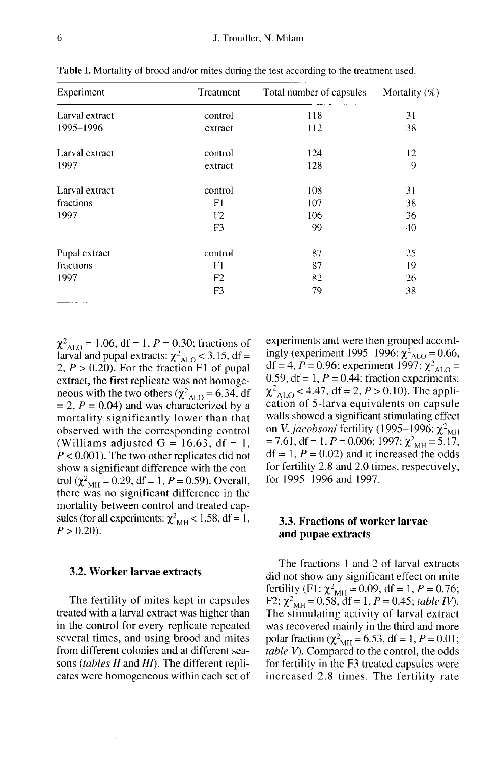| Experiment     | Treatment      | Total number of capsules | Mortality $(\%)$ |
|----------------|----------------|--------------------------|------------------|
| Larval extract | control        | 118                      | 31               |
| 1995-1996      | extract        | 112                      | 38               |
| Larval extract | control        | 124                      | 12               |
| 1997           | extract        | 128                      | 9                |
| Larval extract | control        | 108                      | 31               |
| fractions      | F1             | 107                      | 38               |
| 1997           | F <sub>2</sub> | 106                      | 36               |
|                | F <sub>3</sub> | 99                       | 40               |
| Pupal extract  | control        | 87                       | 25               |
| fractions      | F1             | 87                       | 19               |
| 1997           | F2             | 82                       | 26               |
|                | F3             | 79                       | 38               |

**Table I.** Mortality of brood and/or mites during the test according to the treatment used.

 $\chi^2_{\text{ALO}} = 1.06$ , df = 1, P = 0.30; fractions of larval and pupal extracts:  $\chi^2_{ALO}$  < 3.15, df = 2,  $P > 0.20$ ). For the fraction F1 of pupal extract, the first replicate was not homoge neous with the two others ( $\chi^2_{AIO} = 6.34$ , df  $= 2$ ,  $P = 0.04$ ) and was characterized by a mortality significantly lower than that observed with the corresponding control (Williams adjusted  $G = 16.63$ , df = 1,  $P < 0.001$ ). The two other replicates did not show a significant difference with the control ( $\chi^2_{\text{MH}} = 0.29$ , df = 1, P = 0.59). Overall, there was no significant difference in the mortality between control and treated capsules (for all experiments:  $\chi^2_{\text{MH}}$  < 1.58, df = 1,  $P > 0.20$ ).

#### 3.2. Worker larvae extracts

The fertility of mites kept in capsules treated with a larval extract was higher than in the control for every replicate repeated several times, and using brood and mites from different colonies and at different seasons *(tables II and III)*. The different replicates were homogeneous within each set of experiments and were then grouped accordingly (experiment 1995–1996:  $\chi^2_{\text{ALO}} = 0.66$ , df = 4, P = 0.96; experiment 1997:  $\chi^2_{\text{ALO}} =$ experiments and were then grouped accord-<br>ingly (experiment 1995–1996:  $\chi^2_{\text{ALO}} = 0.66$ ,<br>df = 4, P = 0.96; experiment 1997:  $\chi^2_{\text{ALO}} =$ <br>0.59, df = 1, P = 0.44; fraction experiments: df = 4,  $P = 0.96$ ; experiment 1997:  $\chi^2_{\text{ALO}} = 0.59$ , df = 1,  $P = 0.44$ ; fraction experiments:<br> $\chi^2_{\text{ALO}} < 4.47$ , df = 2,  $P > 0.10$ ). The appli-<br>cation of 5-larva equivalents on capsule cation of 5-larva equivalents on capsule walls showed a significant stimulating effect on *V. jacobsoni* fertility (1995–1996:  $\chi^2$ <sub>MH</sub>  $= 7.61$ , df  $= 1$ ,  $P = 0.006$ ; 1997:  $\chi^2$ <sub>MH</sub>  $= 5.17$ ,  $df = 1, P = 0.02$  and it increased the odds for fertility 2.8 and 2.0 times, respectively, for 1995-1996 and 1997.

# 3.3. Fractions of worker larvae and pupae extracts

The fractions 1 and 2 of larval extracts did not show any significant effect on mite fertility (F1:  $\chi^2_{\text{MH}} = 0.09$ , df = 1, P = 0.76; F2:  $\chi^2_{\text{MH}} = 0.58$ , df = 1, P = 0.45; table IV). The stimulating activity of larval extract was recovered mainly in the third and more polar fraction ( $\chi^2_{\text{MH}}= 6.53$ , df = 1, P = 0.01;  $table V$ ). Compared to the control, the odds for fertility in the F3 treated capsules were increased 2.8 times. The fertility rate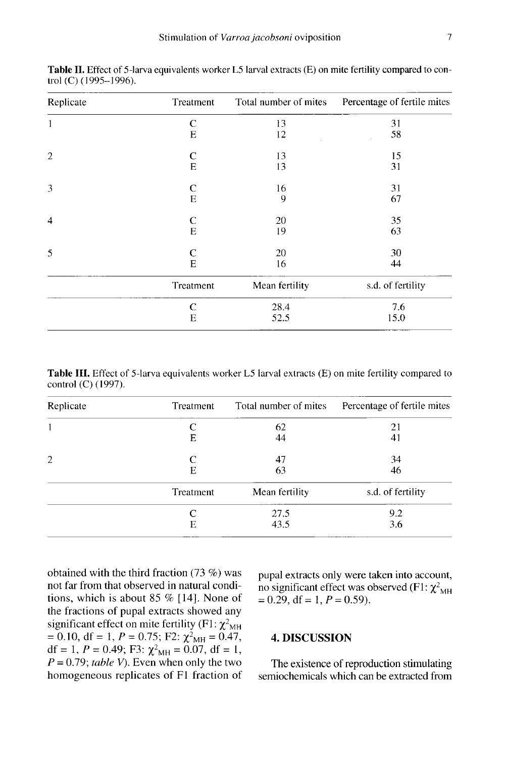| Replicate      | Treatment | Total number of mites | Percentage of fertile mites |
|----------------|-----------|-----------------------|-----------------------------|
| 1              | C         | 13                    | 31                          |
|                | Е         | 12                    | 58                          |
| $\mathbf{2}$   | C         | 13                    | 15                          |
|                | E         | 13                    | 31                          |
| 3              | C         | 16                    | 31                          |
|                | E         | 9                     | 67                          |
| $\overline{4}$ | C         | 20                    | 35                          |
|                | E         | 19                    | 63                          |
| 5              | C         | 20                    | 30                          |
|                | E         | 16                    | 44                          |
|                | Treatment | Mean fertility        | s.d. of fertility           |
|                | C         | 28.4                  | 7.6                         |
|                | Е         | 52.5                  | 15.0                        |

Table II. Effect of 5-larva equivalents worker L5 larval extracts (E) on mite fertility compared to control (C) (1995-1996).

Table III. Effect of 5-larva equivalents worker L5 larval extracts (E) on mite fertility compared to control (C) (1997).

| Treatment | Total number of mites | Percentage of fertile mites |
|-----------|-----------------------|-----------------------------|
|           | 62                    | 21                          |
| E         | 44                    | 41                          |
| C         | 47                    | 34                          |
| Е         | 63                    | 46                          |
| Treatment | Mean fertility        | s.d. of fertility           |
|           | 27.5                  | 9.2                         |
| Е         | 43.5                  | 3.6                         |
|           |                       |                             |

obtained with the third fraction (73 %) was not far from that observed in natural conditions, which is about 85 % [14]. None of the fractions of pupal extracts showed any significant effect on mite fertility (F1:  $\chi^2$ <sub>MH</sub> obtained with the third fraction (73 %) was<br>not far from that observed in natural condi-<br>tions, which is about 85 % [14]. None of<br>the fractions of pupal extracts showed any<br>significant effect on mite fertility (F1:  $\chi^2_{$  $P = 0.79$ ; table V). Even when only the two homogeneous replicates of F1 fraction of

pupal extracts only were taken into account, no significant effect was observed (F1:  $\chi^2_{\text{MH}}$ <br>= 0.29, df = 1, P = 0.59).

# 4. DISCUSSION

The existence of reproduction stimulating semiochemicals which can be extracted from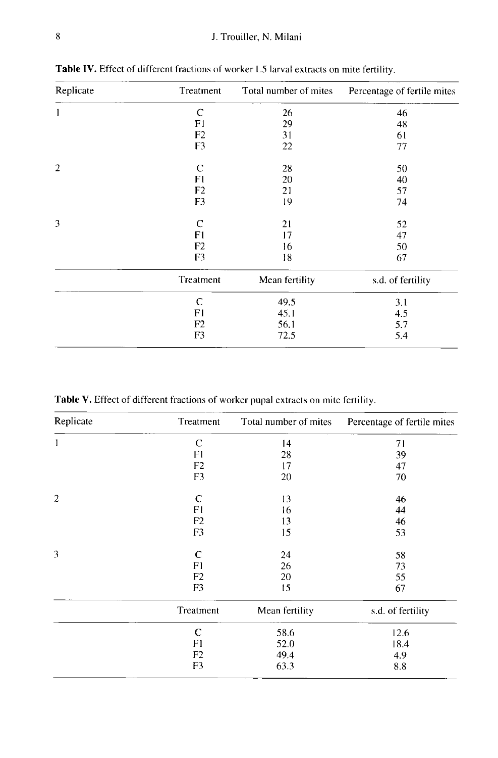| Replicate      | Treatment      | Total number of mites | Percentage of fertile mites |
|----------------|----------------|-----------------------|-----------------------------|
|                | $\mathsf{C}$   | 26                    | 46                          |
|                | F1             | 29                    | 48                          |
|                | F <sub>2</sub> | 31                    | 61                          |
|                | F3             | 22                    | 77                          |
| $\overline{2}$ | C              | 28                    | 50                          |
|                | F1             | 20                    | 40                          |
|                | F <sub>2</sub> | 21                    | 57                          |
|                | F <sub>3</sub> | 19                    | 74                          |
| 3              | $\mathsf{C}$   | 21                    | 52                          |
|                | F1             | 17                    | 47                          |
|                | F <sub>2</sub> | 16                    | 50                          |
|                | F <sub>3</sub> | 18                    | 67                          |
|                | Treatment      | Mean fertility        | s.d. of fertility           |
|                | $\mathsf{C}$   | 49.5                  | 3.1                         |
|                | F1             | 45.1                  | 4.5                         |
|                | F <sub>2</sub> | 56.1                  | 5.7                         |
|                | F3             | 72.5                  | 5.4                         |
|                |                |                       |                             |

Table IV. Effect of different fractions of worker L5 larval extracts on mite fertility.

Table V. Effect of different fractions of worker pupal extracts on mite fertility.

| Replicate      | Treatment      | Total number of mites | Percentage of fertile mites |
|----------------|----------------|-----------------------|-----------------------------|
| 1              | C              | 14                    | 71                          |
|                | F1             | 28                    | 39                          |
|                | F <sub>2</sub> | 17                    | 47                          |
|                | F <sub>3</sub> | 20                    | 70                          |
| $\overline{2}$ | C              | 13                    | 46                          |
|                | F1             | 16                    | 44                          |
|                | F <sub>2</sub> | 13                    | 46                          |
|                | F3             | 15                    | 53                          |
| 3              | $\mathbf C$    | 24                    | 58                          |
|                | F1             | 26                    | 73                          |
|                | F <sub>2</sub> | 20                    | 55                          |
|                | F <sub>3</sub> | 15                    | 67                          |
|                | Treatment      | Mean fertility        | s.d. of fertility           |
|                | $\mathbf C$    | 58.6                  | 12.6                        |
|                | F1             | 52.0                  | 18.4                        |
|                | F <sub>2</sub> | 49.4                  | 4.9                         |
|                | F3             | 63.3                  | 8.8                         |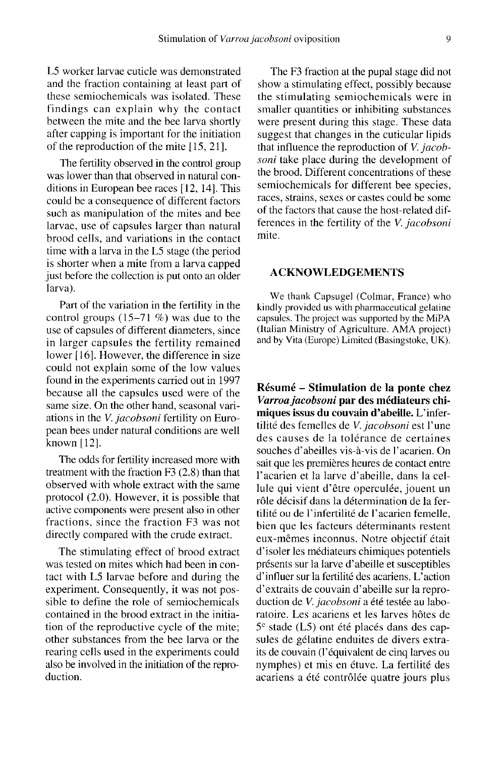L5 worker larvae cuticle was demonstrated and the fraction containing at least part of these semiochemicals was isolated. These findings can explain why the contact between the mite and the bee larva shortly after capping is important for the initiation of the reproduction of the mite [15, 21].

The fertility observed in the control group was lower than that observed in natural conditions in European bee races [12, 14]. This could be a consequence of different factors such as manipulation of the mites and bee larvae, use of capsules larger than natural brood cells, and variations in the contact time with a larva in the L5 stage (the period is shorter when a mite from a larva capped just before the collection is put onto an older larva).

Part of the variation in the fertility in the control groups (15-71 %) was due to the use of capsules of different diameters, since in larger capsules the fertility remained lower [16]. However, the difference in size could not explain some of the low values found in the experiments carried out in 1997 because all the capsules used were of the same size. On the other hand, seasonal variations in the V. jacobsoni fertility on European bees under natural conditions are well known [12].

The odds for fertility increased more with treatment with the fraction F3 (2.8) than that observed with whole extract with the same protocol (2.0). However, it is possible that active components were present also in other fractions, since the fraction F3 was not directly compared with the crude extract.

The stimulating effect of brood extract was tested on mites which had been in contact with L5 larvae before and during the experiment. Consequently, it was not possible to define the role of semiochemicals contained in the brood extract in the initiation of the reproductive cycle of the mite; other substances from the bee larva or the rearing cells used in the experiments could also be involved in the initiation of the reproduction.

The F3 fraction at the pupal stage did not show a stimulating effect, possibly because the stimulating semiochemicals were in smaller quantities or inhibiting substances were present during this stage. These data suggest that changes in the cuticular lipids that influence the reproduction of V. jacobsoni take place during the development of the brood. Different concentrations of these semiochemicals for different bee species, races, strains, sexes or castes could be some of the factors that cause the host-related differences in the fertility of the V. jacobsoni mite.

# ACKNOWLEDGEMENTS

We thank Capsugel (Colmar, France) who kindly provided us with pharmaceutical gelatine capsules. The project was supported by the MiPA (Italian Ministry of Agriculture. AMA project) and by Vita (Europe) Limited (Basingstoke, UK).

Résumé - Stimulation de la ponte chez Varroa jacobsoni par des médiateurs chimiques issus du couvain d'abeille. L'infertilité des femelles de *V. jacobsoni* est l'une des causes de la tolérance de certaines souches d'abeilles vis-à-vis de l'acarien. On sait que les premières heures de contact entre l'acarien et la larve d'abeille, dans la cellule qui vient d'être operculée, jouent un rôle décisif dans la détermination de la fertilité ou de l'infertilité de l'acarien femelle, bien que les facteurs déterminants restent eux-mêmes inconnus. Notre objectif était d'isoler les médiateurs chimiques potentiels présents sur la larve d'abeille et susceptibles d'influer sur la fertilité des acariens. L'action d'extraits de couvain d'abeille sur la reproduction de V. jacobsoni a été testée au laboratoire. Les acariens et les larves hôtes de  $5<sup>c</sup>$  stade (L5) ont été placés dans des capsules de gélatine enduites de divers extraits de couvain (l'équivalent de cinq larves ou nymphes) et mis en étuve. La fertilité des acariens a été contrôlée quatre jours plus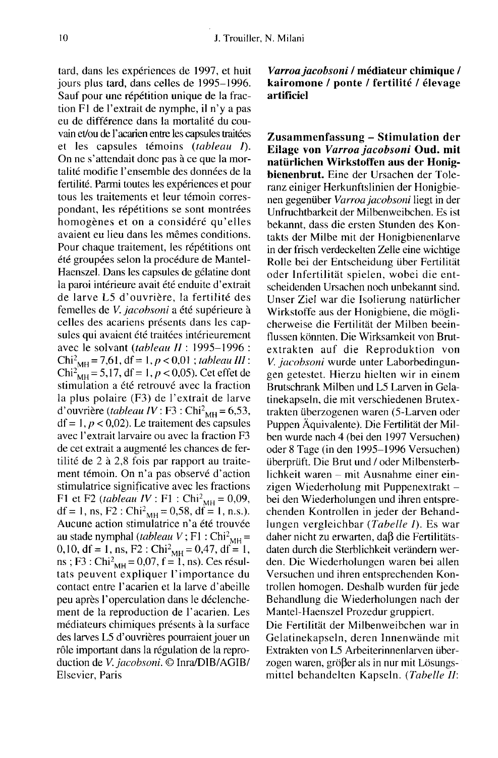tard, dans les expériences de 1997, et huit jours plus tard, dans celles de 1995-1996. Sauf pour une répétition unique de la fraction F1 de l'extrait de nymphe, il n'y a pas eu de différence dans la mortalité du couvain et/ou de l'acarien entre les capsules traitées et les capsules témoins (tableau I). On ne s'attendait donc pas à ce que la mortalité modifie l'ensemble des données de la fertilité. Parmi toutes les expériences et pour tous les traitements et leur témoin correspondant, les répétitions se sont montrées homogènes et on a considéré qu'elles avaient eu lieu dans les mêmes conditions. Pour chaque traitement, les répétitions ont été groupées selon la procédure de Mantel-Haenszel. Dans les capsules de gélatine dont la paroi intérieure avait été enduite d'extrait de larve L5 d'ouvrière, la fertilité des femelles de V. jacobsoni a été supérieure à celles des acariens présents dans les capsules qui avaient été traitées intérieurement avec le solvant (tableau II : 1995-1996 : été groupées selon la procédure de Mantel-Haenszel. Dans les capsules de gélatine dont<br>la paroi intérieure avait été enduite d'extrait<br>de larve L5 d'ouvrière, la fertilité des<br>femelles de *V. jacobsoni* a été supérieure à Chi<sup>2</sup><sub>MH</sub> = 7,61, df = 1, *p* < 0,01; *tableau III* :<br>Chi<sup>2</sup><sub>MH</sub> = 5,17, df = 1, *p* < 0,05). Cet effet de stimulation a été retrouvé avec la fraction la plus polaire (F3) de l'extrait de larve d'ouvrière (tableau IV : F3 : Chi<sup>2</sup><sub>MH</sub> = 6,53,  $df = 1, p < 0.02$ ). Le traitement des capsules avec l'extrait larvaire ou avec la fraction F3 de cet extrait a augmenté les chances de fertilité de 2 à 2,8 fois par rapport au traitement témoin. On n'a pas observé d'action stimulatrice significative avec les fractions<br>F1 et F2 (*tableau IV* : F1 : Chi<sup>2</sup><sub>MH</sub> = 0,09, ment témoin. On n'a pas observé d'action<br>stimulatrice significative avec les fractions<br>F1 et F2 (*tableau IV* : F1 : Chi<sup>2</sup><sub>MH</sub> = 0,09,<br>df = 1, ns, F2 : Chi<sup>2</sup><sub>MH</sub> = 0,58, df = 1, n.s.).<br>Aucune action stimulatrice n'a été Aucune action stimulatrice n'a été trouvée F1 et F2 (*tableau IV* : F1 : Chi<sup>2</sup><sub>MH</sub> = 0,09,<br>df = 1, ns, F2 : Chi<sup>2</sup><sub>MH</sub> = 0,58, df = 1, n.s.).<br>Aucune action stimulatrice n'a été trouvée<br>au stade nymphal (*tableau V* ; F1 : Chi<sup>2</sup><sub>MH</sub> =<br>0,10, df = 1, ns, F2 : Chi<sup>2</sup> au stade nymphal (*tableau* V; F1 : Chi<sup>2</sup><sub>MH</sub> = 0,10, df = 1, ns, F2 : Chi<sup>2</sup><sub>MH</sub> = 0,47, df = 1, ns; F3 : Chi<sup>2</sup><sub>MH</sub> = 0,07, f = 1, ns). Ces résultats peuvent expliquer l'importance du contact entre l'acarien et la larve d'abeille peu après l'operculation dans le déclenchement de la reproduction de l'acarien. Les médiateurs chimiques présents à la surface des larves L5 d'ouvrières pourraient jouer un rôle important dans la régulation de la reproduction de V. jacobsoni. © Inra/DIB/AGIB/ Elsevier, Paris

Varroa jacobsoni / médiateur chimique / kairomone / ponte / fertilité / élevage artificiel

Zusammenfassung - Stimulation der Eilage von Varroa jacobsoni Oud. mit natürlichen Wirkstoffen aus der Honigbienenbrut. Eine der Ursachen der Toleranz einiger Herkunftslinien der Honigbie nen gegenüber Varroa jacobsoni liegt in der Unfruchtbarkeit der Milbenweibchen. Es ist bekannt, dass die ersten Stunden des Kontakts der Milbe mit der Honigbienenlarve in der frisch verdeckelten Zelle eine wichtige Rolle bei der Entscheidung über Fertilität oder Infertilität spielen, wobei die entscheidenden Ursachen noch unbekannt sind. Unser Ziel war die Isolierung natürlicher Wirkstoffe aus der Honigbiene, die möglicherweise die Fertilität der Milben beeinflussen könnten. Die Wirksamkeit von Brutextrakten auf die Reproduktion von V. jacobsoni wurde unter Laborbedingungen getestet. Hierzu hielten wir in einem Brutschrank Milben und L5 Larven in Gelatinekapseln, die mit verschiedenen Brutextrakten überzogenen waren (5-Larven oder Puppen Äquivalente). Die Fertilität der Milben wurde nach 4 (bei den 1997 Versuchen) oder 8 Tage (in den 1995-1996 Versuchen) überprüft. Die Brut und / oder Milbensterblichkeit waren - mit Ausnahme einer einzigen Wiederholung mit Puppenextrakt bei den Wiederholungen und ihren entsprechenden Kontrollen in jeder der Behandlungen vergleichbar (Tabelle I). Es war daher nicht zu erwarten, daß die Fertilitätsdaten durch die Sterblichkeit verändern werden. Die Wiederholungen waren bei allen Versuchen und ihren entsprechenden Kontrollen homogen. Deshalb wurden für jede Behandlung die Wiederholungen nach der Mantel-Haenszel Prozedur gruppiert.

Die Fertilität der Milbenweibchen war in Gelatinekapseln, deren Innenwände mit Extrakten von L5 Arbeiterinnenlarven überzogen waren, größer als in nur mit Lösungsmittel behandelten Kapseln. (Tabelle II: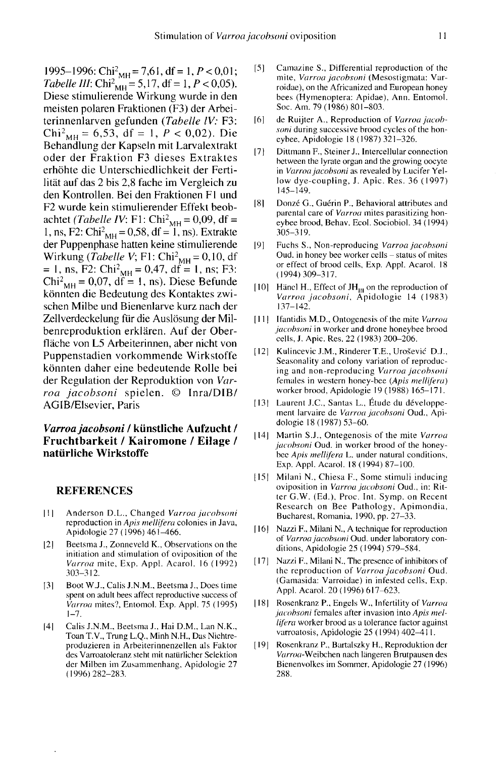1995–1996: Chi<sup>2</sup><sub>MH</sub> = 7,61, df = 1, *P* < 0,01;<br>
1995–1996: Chi<sup>2</sup><sub>MH</sub> = 7,61, df = 1, *P* < 0,01;<br>
1995–1996: Chi<sup>2</sup><sub>MH</sub> = 5,17, df = 1, *P* < 0,05). 1995–1996: Chi<sup>2</sup><sub>MH</sub> = 7,61, df = 1, *P* < 0,01;<br>Tabelle III: Chi<sup>2</sup><sub>MH</sub> = 5,17, df = 1, *P* < 0,05).<br>Diese stimulierende Wirkung wurde in den Diese stimulierende Wirkung wurde in den meisten polaren Fraktionen (F3) der Arbeiterinnenlarven gefunden (Tabelle lV: F3: Chi<sup>2</sup><sub>MH</sub> = 6,53, df = 1,  $P < 0.02$ ). Die Behandlung der Kapseln mit Larvalextrakt oder der Fraktion F3 dieses Extraktes erhöhte die Unterschiedlichkeit der Fertilität auf das 2 bis 2,8 fache im Vergleich zu den Kontrollen. Bei den Fraktionen F1 und F2 wurde kein stimulierender Effekt beoblität auf das 2 bis 2,8 fache im Vergleich zu<br>den Kontrollen. Bei den Fraktionen F1 und<br>F2 wurde kein stimulierender Effekt beob-<br>achtet (*Tabelle IV*: F1: Chi<sup>2</sup><sub>MH</sub> = 0,09, df =<br>1, ns, F2: Chi<sup>2</sup><sub>MH</sub> = 0,58, df = 1, ns) F2 wurde kein stimulierender Effekt beob-<br>achtet (*Tabelle IV*: F1: Chi<sup>2</sup><sub>MH</sub> = 0,09, df =<br>1, ns, F2: Chi<sup>2</sup><sub>MH</sub> = 0,58, df = 1, ns). Extrakte<br>der Puppenphase hatten keine stimulierende der Puppenphase hatten keine stimulierende lität auf das 2 bis 2,8 fache im Vergleich zu<br>den Kontrollen. Bei den Fraktionen F1 und<br>F2 wurde kein stimulierender Effekt beob-<br>achtet (*Tabelle IV*: F1: Chi<sup>2</sup><sub>MH</sub> = 0,09, df =<br>1, ns, F2: Chi<sup>2</sup><sub>MH</sub> = 0,58, df = 1, ns) Wirkung (*Tabelle V*; F1: Chi<sup>2</sup><sub>MH</sub> = 0,10, df = 1, ns, F2: Chi<sup>2</sup><sub>MH</sub> = 0,47, df = 1, ns; F3: Chi<sup>2</sup><sub>MH</sub> = 0,07, df = 1, ns). Diese Befunde könnten die Bedeutung des Kontaktes zwikönnten die Bedeutung des Kontaktes zwischen Milbe und Bienenlarve kurz nach der Zellverdeckelung für die Auslösung der Milbenreproduktion erklären. Auf der Oberfläche von L5 Arbeiterinnen, aber nicht von Puppenstadien vorkommende Wirkstoffe könnten daher eine bedeutende Rolle bei der Regulation der Reproduktion von Varroa jacobsoni spielen. © Inra/DIB/ AGIB/Elsevier, Paris

# Varroa jacobsoni / künstliche Aufzucht / Fruchtbarkeit / Kairomone / Eilage / natürliche Wirkstoffe

#### REFERENCES

- [1] Anderson D.L., Changed Varroa jacobsoni reproduction in Apis mellifera colonies in Java, Apidologie 27 (1996) 461-466.
- [2] Beetsma J., Zonneveld K., Observations on the initiation and stimulation of oviposition of the Varroa mite, Exp. Appl. Acarol. 16 (1992) 303-312.
- [3] Boot W.J., Calis J.N.M., Beetsma J., Does time spent on adult bees affect reproductive success of Varroa mites?, Entomol. Exp. Appl. 75 (1995)  $1 - 7$ .
- [4] Calis J.N.M., Beetsma J., Hai D.M., Lan N.K., Toan T.V., Trung L.Q., Minh N.H., Das Nichtreproduzieren in Arbeiterinnenzellen als Faktor des Varroatoleranz steht mit natürlicher Selektion der Milben im Zusammenhang, Apidologie 27 (1996) 282-283.
- [5] Camazine S., Differential reproduction of the mite, Varroa jacobsoni (Mesostigmata: Varroidae), on the Africanized and European honey bees (Hymenoptera: Apidae), Ann. Entomol. Soc. Am. 79 (1986) 801-803.
- [6] de Ruijter A., Reproduction of Varroa jacobsoni during successive brood cycles of the honeybee, Apidologie 18 (1987) 321-326.
- [7] Dittmann F., Steiner J., Intercellular connection between the lyrate organ and the growing oocyte in Varroa jacobsoni as revealed by Lucifer Yellow dye-coupling, J. Apic. Res. 36 (1997) 145-149.
- [8] Donzé G., Guérin P., Behavioral attributes and parental care of Varroa mites parasitizing honeybee brood, Behav. Ecol. Sociobiol. 34 ( 1994) 305-319.
- [9] Fuchs S., Non-reproducing Varroa jacobsoni Oud. in honey bee worker cells – status of mites or effect of brood cells, Exp. Appl. Acarol. 18 (1994) 309-317.
- [10] Hänel H., Effect of  $JH<sub>III</sub>$  on the reproduction of Varroa jacobsoni, Äpidologie 14 (1983) 137-142.
- [11] Ifantidis M.D., Ontogenesis of the mite Varroa jacobsoni in worker and drone honeybee brood cells, J. Apic. Res. 22 (1983) 200-206.
- [12] Kulincevic J.M., Rinderer T.E., Urošević D.J., Seasonality and colony variation of reproducing and non-reproducing Varroa jacobsoni females in western honey-bee (Apis mellifera) worker brood, Apidologie 19 (1988) 165-171.
- [13] Laurent J.C., Santas L., Étude du développe ment larvaire de Varroa jacobsoni Oud., Apidologie 18 (1987) 53-60.
- [14] Martin S.J., Ontegenosis of the mite Varroa jacobsoni Oud. in worker brood of the honeybec Apis mellifera L. under natural conditions, Exp. Appl. Acarol. 18 (1994) 87-100.
- [15] Milani N., Chiesa F., Some stimuli inducing oviposition in Varroa jacobsoni Oud., in: Ritter G.W. (Ed.), Proc. Int. Symp. on Recent Research on Bee Pathology, Apimondia, Bucharest, Romania, 1990, pp. 27-33.
- [16] Nazzi F., Milani N., A technique for reproduction of Varroa jacobsoni Oud. under laboratory conditions, Apidologie 25 (1994) 579-584.
- [17] Nazzi F., Milani N., The presence of inhibitors of the reproduction of Varroa jacobsoni Oud. (Gamasida: Varroidae) in infested cells, Exp. Appl. Acarol. 20 (1996) 617-623.
- [18] Rosenkranz P., Engels W., Infertility of Varroa jacobsoni females after invasion into Apis mellifera worker brood as a tolerance factor against varroatosis, Apidologie 25 (1994) 402-411.
- [19] Rosenkranz P., Bartalszky H., Reproduktion der Varroa-Weibchen nach längeren Brutpausen des Bienenvolkes im Sommer, Apidologie 27 (1996) 288.